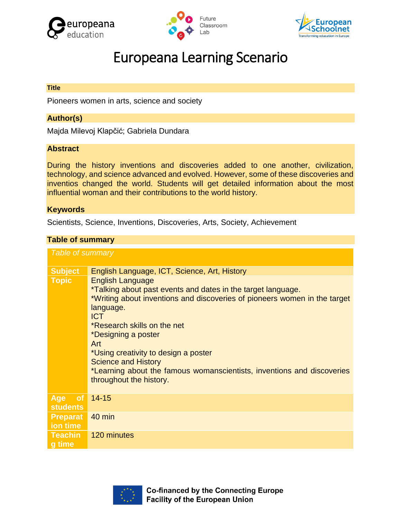





# Europeana Learning Scenario

#### **Title**

Pioneers women in arts, science and society

# **Author(s)**

Majda Milevoj Klapčić; Gabriela Dundara

#### **Abstract**

During the history inventions and discoveries added to one another, civilization, technology, and science advanced and evolved. However, some of these discoveries and inventios changed the world. Students will get detailed information about the most influential woman and their contributions to the world history.

#### **Keywords**

Scientists, Science, Inventions, Discoveries, Arts, Society, Achievement

#### **Table of summary**

| <b>Table of summary</b>                    |                                                                                                                                                                                                                                                                                                                                                                                                                                         |  |  |  |
|--------------------------------------------|-----------------------------------------------------------------------------------------------------------------------------------------------------------------------------------------------------------------------------------------------------------------------------------------------------------------------------------------------------------------------------------------------------------------------------------------|--|--|--|
| <b>Subject</b>                             | English Language, ICT, Science, Art, History                                                                                                                                                                                                                                                                                                                                                                                            |  |  |  |
| <b>Topic</b>                               | <b>English Language</b><br>*Talking about past events and dates in the target language.<br>*Writing about inventions and discoveries of pioneers women in the target<br>language.<br><b>ICT</b><br>*Research skills on the net<br>*Designing a poster<br>Art<br>*Using creativity to design a poster<br><b>Science and History</b><br>*Learning about the famous womanscientists, inventions and discoveries<br>throughout the history. |  |  |  |
| <b>Age</b><br><b>of</b><br><b>students</b> | $14 - 15$                                                                                                                                                                                                                                                                                                                                                                                                                               |  |  |  |
| <b>Preparat</b><br>ion time                | $40$ min                                                                                                                                                                                                                                                                                                                                                                                                                                |  |  |  |
| <b>Teachin</b><br>g time                   | 120 minutes                                                                                                                                                                                                                                                                                                                                                                                                                             |  |  |  |

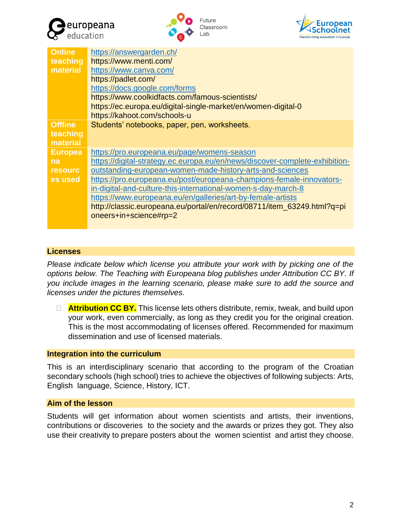





| <b>Online</b><br>teaching<br>material | https://answergarden.ch/<br>https://www.menti.com/<br>https://www.canva.com/<br>https://padlet.com/<br>https://docs.google.com/forms<br>https://www.coolkidfacts.com/famous-scientists/<br>https://ec.europa.eu/digital-single-market/en/women-digital-0 |
|---------------------------------------|----------------------------------------------------------------------------------------------------------------------------------------------------------------------------------------------------------------------------------------------------------|
|                                       | https://kahoot.com/schools-u                                                                                                                                                                                                                             |
| <b>Offline</b><br>teaching            | Students' notebooks, paper, pen, worksheets.                                                                                                                                                                                                             |
| material                              |                                                                                                                                                                                                                                                          |
| <b>Europea</b><br>na                  | https://pro.europeana.eu/page/womens-season<br>https://digital-strategy.ec.europa.eu/en/news/discover-complete-exhibition-                                                                                                                               |
| <b>resourc</b>                        | outstanding-european-women-made-history-arts-and-sciences                                                                                                                                                                                                |
| es used                               | https://pro.europeana.eu/post/europeana-champions-female-innovators-                                                                                                                                                                                     |
|                                       | in-digital-and-culture-this-international-women-s-day-march-8                                                                                                                                                                                            |
|                                       | https://www.europeana.eu/en/galleries/art-by-female-artists                                                                                                                                                                                              |
|                                       | http://classic.europeana.eu/portal/en/record/08711/item_63249.html?q=pi                                                                                                                                                                                  |
|                                       | oneers+in+science#rp=2                                                                                                                                                                                                                                   |
|                                       |                                                                                                                                                                                                                                                          |

# **Licenses**

*Please indicate below which license you attribute your work with by picking one of the options below. The Teaching with Europeana blog publishes under Attribution CC BY. If you include images in the learning scenario, please make sure to add the source and licenses under the pictures themselves.*

 **Attribution CC BY.** This license lets others distribute, remix, tweak, and build upon your work, even commercially, as long as they credit you for the original creation. This is the most accommodating of licenses offered. Recommended for maximum dissemination and use of licensed materials.

## **Integration into the curriculum**

This is an interdisciplinary scenario that according to the program of the Croatian secondary schools (high school) tries to achieve the objectives of following subjects: Arts, English language, Science, History, ICT.

## **Aim of the lesson**

Students will get information about women scientists and artists, their inventions, contributions or discoveries to the society and the awards or prizes they got. They also use their creativity to prepare posters about the women scientist and artist they choose.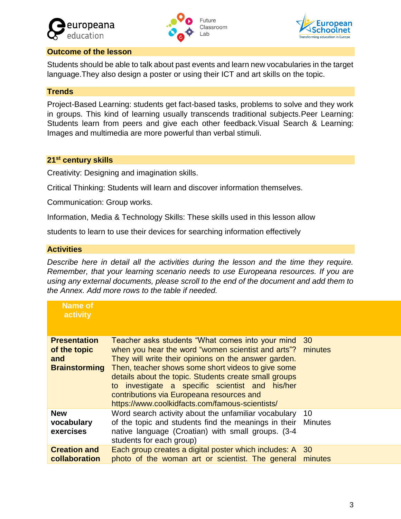





# **Outcome of the lesson**

Students should be able to talk about past events and learn new vocabularies in the target language.They also design a poster or using their ICT and art skills on the topic.

# **Trends**

Project-Based Learning: students get fact-based tasks, problems to solve and they work in groups. This kind of learning usually transcends traditional subjects.Peer Learning: Students learn from peers and give each other feedback.Visual Search & Learning: Images and multimedia are more powerful than verbal stimuli.

# **21st century skills**

Creativity: Designing and imagination skills.

Critical Thinking: Students will learn and discover information themselves.

Communication: Group works.

Information, Media & Technology Skills: These skills used in this lesson allow

students to learn to use their devices for searching information effectively

# **Activities**

*Describe here in detail all the activities during the lesson and the time they require. Remember, that your learning scenario needs to use Europeana resources. If you are using any external documents, please scroll to the end of the document and add them to the Annex. Add more rows to the table if needed.*

| <b>Name of</b><br>activity                                         |                                                                                                                                                                                                                                                                                                                                                                                                                                          |                      |
|--------------------------------------------------------------------|------------------------------------------------------------------------------------------------------------------------------------------------------------------------------------------------------------------------------------------------------------------------------------------------------------------------------------------------------------------------------------------------------------------------------------------|----------------------|
| <b>Presentation</b><br>of the topic<br>and<br><b>Brainstorming</b> | Teacher asks students "What comes into your mind<br>when you hear the word "women scientist and arts"? minutes<br>They will write their opinions on the answer garden.<br>Then, teacher shows some short videos to give some<br>details about the topic. Students create small groups<br>to investigate a specific scientist and his/her<br>contributions via Europeana resources and<br>https://www.coolkidfacts.com/famous-scientists/ | 30                   |
| <b>New</b><br>vocabulary<br>exercises                              | Word search activity about the unfamiliar vocabulary<br>of the topic and students find the meanings in their<br>native language (Croatian) with small groups. (3-4<br>students for each group)                                                                                                                                                                                                                                           | 10<br><b>Minutes</b> |
| <b>Creation and</b><br>collaboration                               | Each group creates a digital poster which includes: A<br>photo of the woman art or scientist. The general                                                                                                                                                                                                                                                                                                                                | 30<br>minutes        |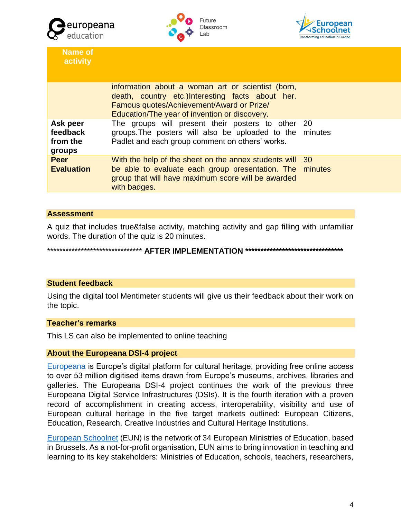





**Name of activity**

| information about a woman art or scientist (born,<br>death, country etc.)Interesting facts about her.<br>Famous quotes/Achievement/Award or Prize/<br>Education/The year of invention or discovery. |  |
|-----------------------------------------------------------------------------------------------------------------------------------------------------------------------------------------------------|--|
| The groups will present their posters to other 20<br>groups. The posters will also be uploaded to the minutes<br>Padlet and each group comment on others' works.                                    |  |
| With the help of the sheet on the annex students will 30<br>be able to evaluate each group presentation. The minutes<br>group that will have maximum score will be awarded<br>with badges.          |  |
|                                                                                                                                                                                                     |  |

## **Assessment**

A quiz that includes true&false activity, matching activity and gap filling with unfamiliar words. The duration of the quiz is 20 minutes.

\*\*\*\*\*\*\*\*\*\*\*\*\*\*\*\*\*\*\*\*\*\*\*\*\*\*\*\*\*\*\* **AFTER IMPLEMENTATION \*\*\*\*\*\*\*\*\*\*\*\*\*\*\*\*\*\*\*\*\*\*\*\*\*\*\*\*\*\*\*\***

## **Student feedback**

Using the digital tool Mentimeter students will give us their feedback about their work on the topic.

#### **Teacher's remarks**

This LS can also be implemented to online teaching

#### **About the Europeana DSI-4 project**

[Europeana](https://www.europeana.eu/portal/en) is Europe's digital platform for cultural heritage, providing free online access to over 53 million digitised items drawn from Europe's museums, archives, libraries and galleries. The Europeana DSI-4 project continues the work of the previous three Europeana Digital Service Infrastructures (DSIs). It is the fourth iteration with a proven record of accomplishment in creating access, interoperability, visibility and use of European cultural heritage in the five target markets outlined: European Citizens, Education, Research, Creative Industries and Cultural Heritage Institutions.

[European Schoolnet](http://www.eun.org/home) (EUN) is the network of 34 European Ministries of Education, based in Brussels. As a not-for-profit organisation, EUN aims to bring innovation in teaching and learning to its key stakeholders: Ministries of Education, schools, teachers, researchers,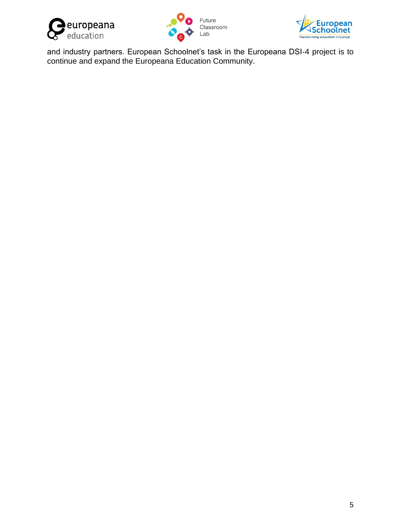





and industry partners. European Schoolnet's task in the Europeana DSI-4 project is to continue and expand the Europeana Education Community.